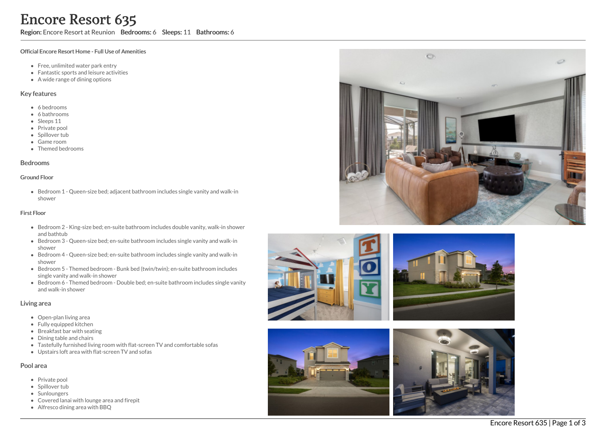Region: Encore Resort at Reunion Bedrooms: 6 Sleeps: 11 Bathrooms: 6

### Official Encore Resort Home - Full Use of Amenities

- Free, unlimited water park entry
- Fantastic sports and leisure activities
- A wide range of dining options

### Key features

- 6 b e d r o o m s
- 6 bathrooms
- Sleeps 11
- Private pool
- Spillover tub
- Game room
- Themed bedr o o m s

### **Bedrooms**

### Ground Floor

Bedroom 1 - Queen-size bed; adjacent bathroom includes single vanity and walk-in s h o w e r

#### Fir s t Flo o r

- Bedroom 2 King-size bed; en-suite bathroom includes double vanity, walk-in shower and bathtub
- Bedroom 3 Queen-size bed; en-suite bathroom includes single vanity and walk-in s h o w e r
- Bedroom 4 Queen-size bed; en-suite bathroom includes single vanity and walk-in s h o w e r
- Bedroom 5 Themed bedroom Bunk bed (twin/twin); en-suite bathroom includes single vanity and walk-in shower
- Bedroom 6 Themed bedroom Double bed; en-suite bathroom includes single vanity a n d w alk -in s h o w e r

### Living area

- Open-plan living area
- Fully equipped kitchen
- Breakfast bar with seating
- Dining table and chairs
- Tastefully furnished living room with flat-screen TV and comfortable sofas
- Upstairs loft area with flat-screen TV and sofas

## Pool area

- Private pool
- Spillover tub
- Sunloungers
- Covered lanai with lounge area and firepit
- Alfresco dining area with BBQ









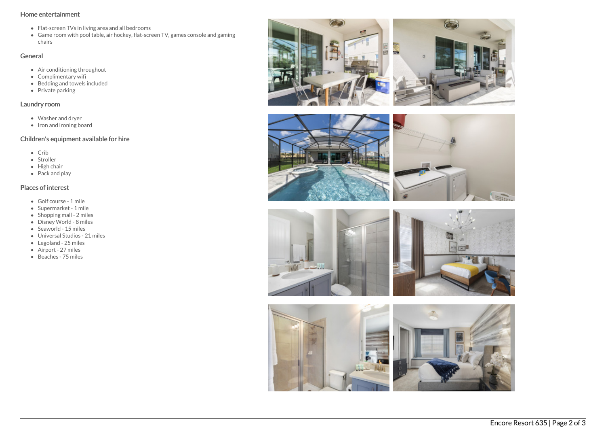## Home entertainment

- Flat-screen TVs in living area and all bedrooms
- Game room with pool table, air hockey, flat-screen TV, games console and gaming chairs

## General

- Air conditioning throughout
- Complimentary wifi
- Bedding and towels included
- Private parking

# Laundry room

- Washer and dryer
- Iron and ironing board

# Children's equipment available for hire

- $\bullet$  Crib
- Stroller
- $\bullet$  High chair
- Pack and play

## Places of interest

- Golf course 1 mile
- Supermarket 1 mile
- Shopping mall 2 miles
- Disney World 8 miles
- Seaworld 15 miles
- Universal Studios 21 miles
- Legoland 25 miles
- Airport 27 miles
- Beaches 75 miles